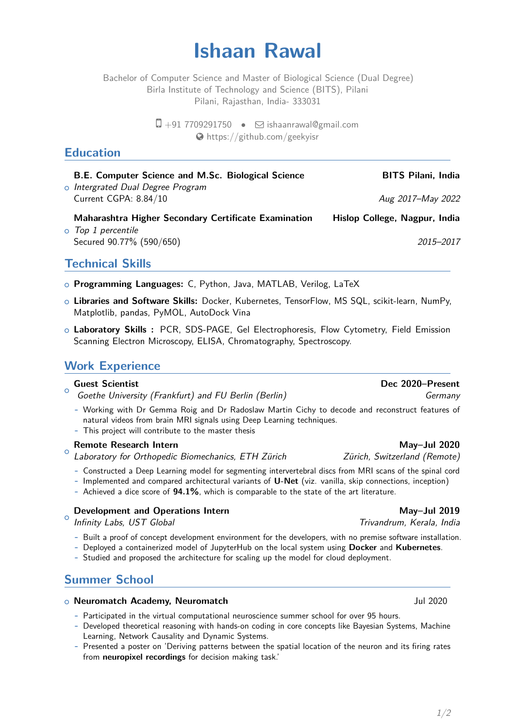# **Ishaan Rawal**

Bachelor of Computer Science and Master of Biological Science (Dual Degree) Birla Institute of Technology and Science (BITS), Pilani Pilani, Rajasthan, India- 333031

> $\Box$  +91 7709291750  $\bullet$   $\Box$  [ishaanrawal@gmail.com](mailto:ishaanrawal@gmail.com) [https://github.com/geekyisr](http://https://github.com/geekyisr)

# **Education**

### **B.E. Computer Science and M.Sc. Biological Science BITS Pilani, India**

<mark>o Intergrated Dual Degree Program</mark> Current CGPA: 8.84/10 Aug 2017–May 2022

**Maharashtra Higher Secondary Certificate Examination Hislop College, Nagpur, India**

o Top 1 percentile Secured 90.77% (590/650) 2015–2017

# **Technical Skills**

- <sup>+</sup> **Programming Languages:** C, Python, Java, MATLAB, Verilog, LaTeX
- <sup>+</sup> **Libraries and Software Skills:** Docker, Kubernetes, TensorFlow, MS SQL, scikit-learn, NumPy, Matplotlib, pandas, PyMOL, AutoDock Vina
- <sup>+</sup> **Laboratory Skills :** PCR, SDS-PAGE, Gel Electrophoresis, Flow Cytometry, Field Emission Scanning Electron Microscopy, ELISA, Chromatography, Spectroscopy.

## **Work Experience**

#### $\circ$ **Guest Scientist Dec 2020–Present**

Goethe University (Frankfurt) and FU Berlin (Berlin) Germany Germany

- **-** Working with Dr Gemma Roig and Dr Radoslaw Martin Cichy to decode and reconstruct features of natural videos from brain MRI signals using Deep Learning techniques.
- **-** This project will contribute to the master thesis

#### $\circ$ **Remote Research Intern May–Jul 2020**

Laboratory for Orthopedic Biomechanics, ETH Zürich Zürich, Switzerland (Remote)

- **-** Constructed a Deep Learning model for segmenting intervertebral discs from MRI scans of the spinal cord
- **-** Implemented and compared architectural variants of **U-Net** (viz. vanilla, skip connections, inception)
- **-** Achieved a dice score of **94.1%**, which is comparable to the state of the art literature.

## **Development and Operations Intern May–Jul 2019**

 $\circ$ Infinity Labs, UST Global Trivandrum, Kerala, India

- **-** Built a proof of concept development environment for the developers, with no premise software installation.
- **-** Deployed a containerized model of JupyterHub on the local system using **Docker** and **Kubernetes**.
- **-** Studied and proposed the architecture for scaling up the model for cloud deployment.

# **Summer School**

#### <sup>+</sup> **Neuromatch Academy, Neuromatch** Jul 2020

- **-** Participated in the virtual computational neuroscience summer school for over 95 hours.
- **-** Developed theoretical reasoning with hands-on coding in core concepts like Bayesian Systems, Machine Learning, Network Causality and Dynamic Systems.
- **-** Presented a poster on 'Deriving patterns between the spatial location of the neuron and its firing rates from **neuropixel recordings** for decision making task.'

1[/2](#page-1-0)